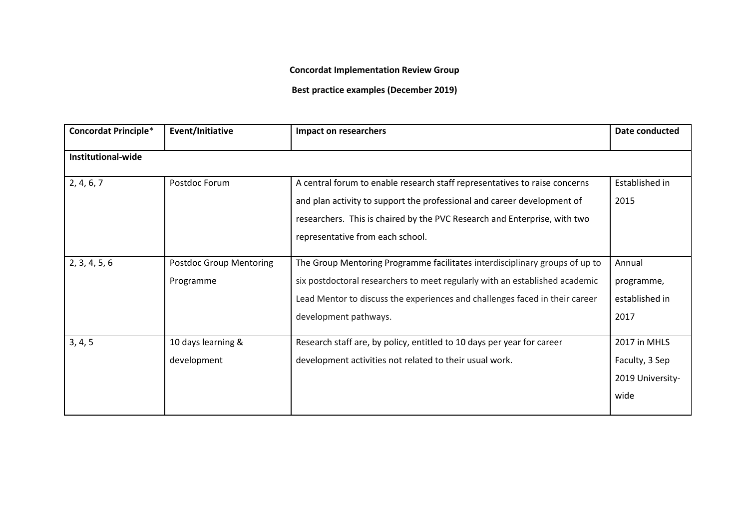**Concordat Implementation Review Group**

**Best practice examples (December 2019)**

| <b>Concordat Principle*</b> | Event/Initiative               | Impact on researchers                                                       | Date conducted   |
|-----------------------------|--------------------------------|-----------------------------------------------------------------------------|------------------|
| Institutional-wide          |                                |                                                                             |                  |
| 2, 4, 6, 7                  | Postdoc Forum                  | A central forum to enable research staff representatives to raise concerns  | Established in   |
|                             |                                | and plan activity to support the professional and career development of     | 2015             |
|                             |                                | researchers. This is chaired by the PVC Research and Enterprise, with two   |                  |
|                             |                                | representative from each school.                                            |                  |
| 2, 3, 4, 5, 6               | <b>Postdoc Group Mentoring</b> | The Group Mentoring Programme facilitates interdisciplinary groups of up to | Annual           |
|                             | Programme                      | six postdoctoral researchers to meet regularly with an established academic | programme,       |
|                             |                                | Lead Mentor to discuss the experiences and challenges faced in their career | established in   |
|                             |                                | development pathways.                                                       | 2017             |
| 3, 4, 5                     | 10 days learning &             | Research staff are, by policy, entitled to 10 days per year for career      | 2017 in MHLS     |
|                             | development                    | development activities not related to their usual work.                     | Faculty, 3 Sep   |
|                             |                                |                                                                             | 2019 University- |
|                             |                                |                                                                             | wide             |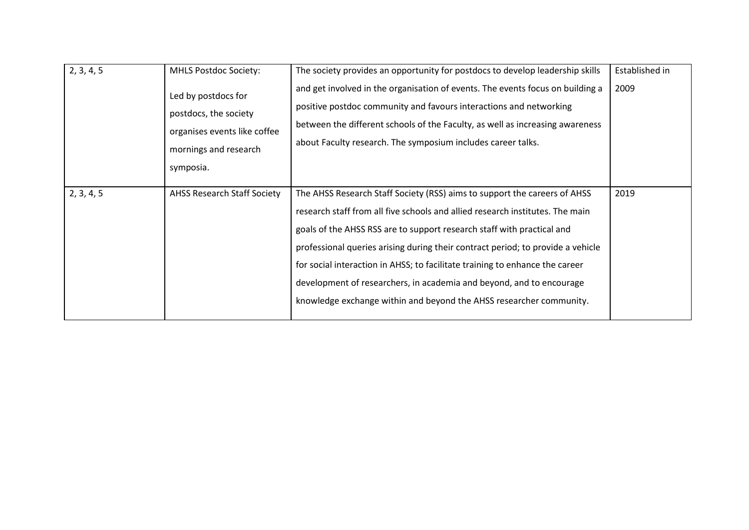| 2, 3, 4, 5 | <b>MHLS Postdoc Society:</b><br>Led by postdocs for<br>postdocs, the society<br>organises events like coffee<br>mornings and research<br>symposia. | The society provides an opportunity for postdocs to develop leadership skills<br>and get involved in the organisation of events. The events focus on building a<br>positive postdoc community and favours interactions and networking<br>between the different schools of the Faculty, as well as increasing awareness<br>about Faculty research. The symposium includes career talks.                                                                                                                                                                 | Established in<br>2009 |
|------------|----------------------------------------------------------------------------------------------------------------------------------------------------|--------------------------------------------------------------------------------------------------------------------------------------------------------------------------------------------------------------------------------------------------------------------------------------------------------------------------------------------------------------------------------------------------------------------------------------------------------------------------------------------------------------------------------------------------------|------------------------|
| 2, 3, 4, 5 | <b>AHSS Research Staff Society</b>                                                                                                                 | The AHSS Research Staff Society (RSS) aims to support the careers of AHSS<br>research staff from all five schools and allied research institutes. The main<br>goals of the AHSS RSS are to support research staff with practical and<br>professional queries arising during their contract period; to provide a vehicle<br>for social interaction in AHSS; to facilitate training to enhance the career<br>development of researchers, in academia and beyond, and to encourage<br>knowledge exchange within and beyond the AHSS researcher community. | 2019                   |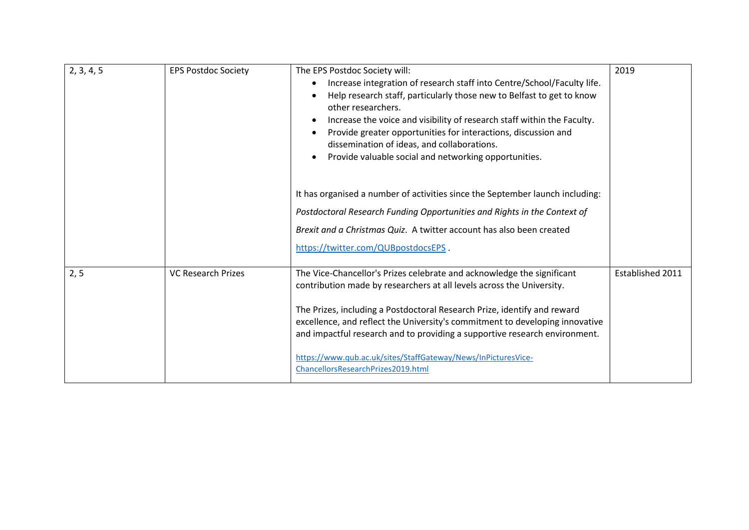| 2, 3, 4, 5 | <b>EPS Postdoc Society</b> | The EPS Postdoc Society will:<br>Increase integration of research staff into Centre/School/Faculty life.<br>Help research staff, particularly those new to Belfast to get to know<br>other researchers.<br>Increase the voice and visibility of research staff within the Faculty.<br>Provide greater opportunities for interactions, discussion and<br>dissemination of ideas, and collaborations.<br>Provide valuable social and networking opportunities.<br>It has organised a number of activities since the September launch including: | 2019             |
|------------|----------------------------|-----------------------------------------------------------------------------------------------------------------------------------------------------------------------------------------------------------------------------------------------------------------------------------------------------------------------------------------------------------------------------------------------------------------------------------------------------------------------------------------------------------------------------------------------|------------------|
|            |                            | Postdoctoral Research Funding Opportunities and Rights in the Context of                                                                                                                                                                                                                                                                                                                                                                                                                                                                      |                  |
|            |                            | Brexit and a Christmas Quiz. A twitter account has also been created                                                                                                                                                                                                                                                                                                                                                                                                                                                                          |                  |
|            |                            | https://twitter.com/QUBpostdocsEPS.                                                                                                                                                                                                                                                                                                                                                                                                                                                                                                           |                  |
| 2, 5       | <b>VC Research Prizes</b>  | The Vice-Chancellor's Prizes celebrate and acknowledge the significant<br>contribution made by researchers at all levels across the University.                                                                                                                                                                                                                                                                                                                                                                                               | Established 2011 |
|            |                            | The Prizes, including a Postdoctoral Research Prize, identify and reward<br>excellence, and reflect the University's commitment to developing innovative<br>and impactful research and to providing a supportive research environment.                                                                                                                                                                                                                                                                                                        |                  |
|            |                            | https://www.qub.ac.uk/sites/StaffGateway/News/InPicturesVice-<br>ChancellorsResearchPrizes2019.html                                                                                                                                                                                                                                                                                                                                                                                                                                           |                  |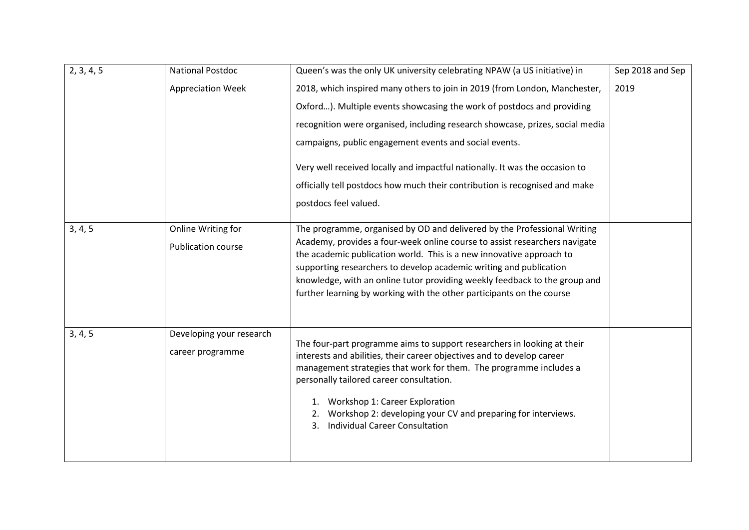| 2, 3, 4, 5 | <b>National Postdoc</b>   | Queen's was the only UK university celebrating NPAW (a US initiative) in                                                                           | Sep 2018 and Sep |
|------------|---------------------------|----------------------------------------------------------------------------------------------------------------------------------------------------|------------------|
|            | <b>Appreciation Week</b>  | 2018, which inspired many others to join in 2019 (from London, Manchester,                                                                         | 2019             |
|            |                           | Oxford). Multiple events showcasing the work of postdocs and providing                                                                             |                  |
|            |                           | recognition were organised, including research showcase, prizes, social media                                                                      |                  |
|            |                           | campaigns, public engagement events and social events.                                                                                             |                  |
|            |                           | Very well received locally and impactful nationally. It was the occasion to                                                                        |                  |
|            |                           | officially tell postdocs how much their contribution is recognised and make                                                                        |                  |
|            |                           | postdocs feel valued.                                                                                                                              |                  |
| 3, 4, 5    | Online Writing for        | The programme, organised by OD and delivered by the Professional Writing                                                                           |                  |
|            | <b>Publication course</b> | Academy, provides a four-week online course to assist researchers navigate<br>the academic publication world. This is a new innovative approach to |                  |
|            |                           | supporting researchers to develop academic writing and publication                                                                                 |                  |
|            |                           | knowledge, with an online tutor providing weekly feedback to the group and                                                                         |                  |
|            |                           | further learning by working with the other participants on the course                                                                              |                  |
| 3, 4, 5    | Developing your research  |                                                                                                                                                    |                  |
|            |                           | The four-part programme aims to support researchers in looking at their                                                                            |                  |
|            | career programme          | interests and abilities, their career objectives and to develop career                                                                             |                  |
|            |                           | management strategies that work for them. The programme includes a<br>personally tailored career consultation.                                     |                  |
|            |                           | 1. Workshop 1: Career Exploration                                                                                                                  |                  |
|            |                           | 2. Workshop 2: developing your CV and preparing for interviews.                                                                                    |                  |
|            |                           | <b>Individual Career Consultation</b><br>3.                                                                                                        |                  |
|            |                           |                                                                                                                                                    |                  |
|            |                           |                                                                                                                                                    |                  |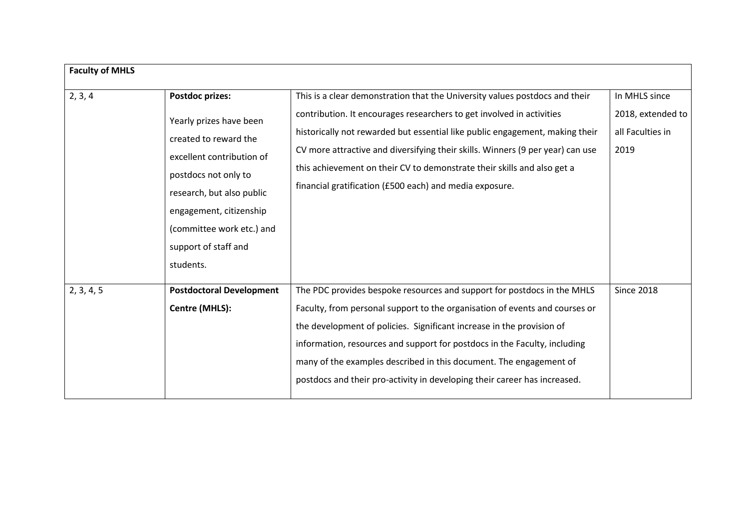| <b>Faculty of MHLS</b> |                                                                                                                                                                                                                                                    |                                                                                                                                                                                                                                                                                                                                                                                                                                                                 |                                                                |  |
|------------------------|----------------------------------------------------------------------------------------------------------------------------------------------------------------------------------------------------------------------------------------------------|-----------------------------------------------------------------------------------------------------------------------------------------------------------------------------------------------------------------------------------------------------------------------------------------------------------------------------------------------------------------------------------------------------------------------------------------------------------------|----------------------------------------------------------------|--|
| 2, 3, 4                | Postdoc prizes:<br>Yearly prizes have been<br>created to reward the<br>excellent contribution of<br>postdocs not only to<br>research, but also public<br>engagement, citizenship<br>(committee work etc.) and<br>support of staff and<br>students. | This is a clear demonstration that the University values postdocs and their<br>contribution. It encourages researchers to get involved in activities<br>historically not rewarded but essential like public engagement, making their<br>CV more attractive and diversifying their skills. Winners (9 per year) can use<br>this achievement on their CV to demonstrate their skills and also get a<br>financial gratification (£500 each) and media exposure.    | In MHLS since<br>2018, extended to<br>all Faculties in<br>2019 |  |
| 2, 3, 4, 5             | <b>Postdoctoral Development</b><br>Centre (MHLS):                                                                                                                                                                                                  | The PDC provides bespoke resources and support for postdocs in the MHLS<br>Faculty, from personal support to the organisation of events and courses or<br>the development of policies. Significant increase in the provision of<br>information, resources and support for postdocs in the Faculty, including<br>many of the examples described in this document. The engagement of<br>postdocs and their pro-activity in developing their career has increased. | <b>Since 2018</b>                                              |  |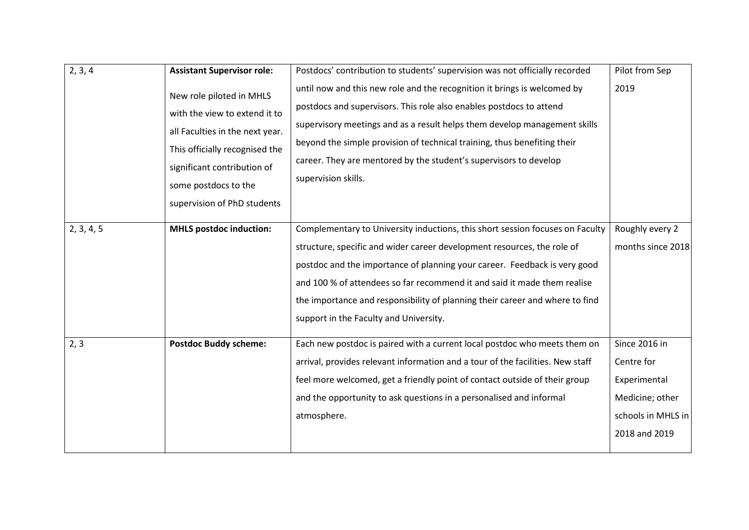| 2, 3, 4    | <b>Assistant Supervisor role:</b>                                                                                                                                                                                    | Postdocs' contribution to students' supervision was not officially recorded                                                                                                                                                                                                                                                                                                                          | Pilot from Sep     |
|------------|----------------------------------------------------------------------------------------------------------------------------------------------------------------------------------------------------------------------|------------------------------------------------------------------------------------------------------------------------------------------------------------------------------------------------------------------------------------------------------------------------------------------------------------------------------------------------------------------------------------------------------|--------------------|
|            | New role piloted in MHLS<br>with the view to extend it to<br>all Faculties in the next year.<br>This officially recognised the<br>significant contribution of<br>some postdocs to the<br>supervision of PhD students | until now and this new role and the recognition it brings is welcomed by<br>postdocs and supervisors. This role also enables postdocs to attend<br>supervisory meetings and as a result helps them develop management skills<br>beyond the simple provision of technical training, thus benefiting their<br>career. They are mentored by the student's supervisors to develop<br>supervision skills. | 2019               |
| 2, 3, 4, 5 | <b>MHLS postdoc induction:</b>                                                                                                                                                                                       | Complementary to University inductions, this short session focuses on Faculty                                                                                                                                                                                                                                                                                                                        | Roughly every 2    |
|            |                                                                                                                                                                                                                      | structure, specific and wider career development resources, the role of                                                                                                                                                                                                                                                                                                                              | months since 2018  |
|            |                                                                                                                                                                                                                      | postdoc and the importance of planning your career. Feedback is very good                                                                                                                                                                                                                                                                                                                            |                    |
|            |                                                                                                                                                                                                                      | and 100 % of attendees so far recommend it and said it made them realise                                                                                                                                                                                                                                                                                                                             |                    |
|            |                                                                                                                                                                                                                      | the importance and responsibility of planning their career and where to find                                                                                                                                                                                                                                                                                                                         |                    |
|            |                                                                                                                                                                                                                      | support in the Faculty and University.                                                                                                                                                                                                                                                                                                                                                               |                    |
| 2, 3       | <b>Postdoc Buddy scheme:</b>                                                                                                                                                                                         | Each new postdoc is paired with a current local postdoc who meets them on                                                                                                                                                                                                                                                                                                                            | Since 2016 in      |
|            |                                                                                                                                                                                                                      | arrival, provides relevant information and a tour of the facilities. New staff                                                                                                                                                                                                                                                                                                                       | Centre for         |
|            |                                                                                                                                                                                                                      | feel more welcomed, get a friendly point of contact outside of their group                                                                                                                                                                                                                                                                                                                           | Experimental       |
|            |                                                                                                                                                                                                                      | and the opportunity to ask questions in a personalised and informal                                                                                                                                                                                                                                                                                                                                  | Medicine; other    |
|            |                                                                                                                                                                                                                      | atmosphere.                                                                                                                                                                                                                                                                                                                                                                                          | schools in MHLS in |
|            |                                                                                                                                                                                                                      |                                                                                                                                                                                                                                                                                                                                                                                                      | 2018 and 2019      |
|            |                                                                                                                                                                                                                      |                                                                                                                                                                                                                                                                                                                                                                                                      |                    |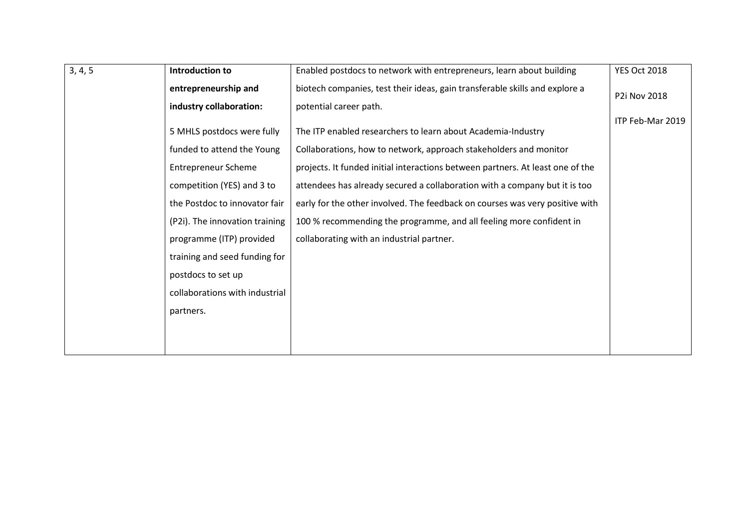| 3, 4, 5              | Introduction to                | Enabled postdocs to network with entrepreneurs, learn about building           | <b>YES Oct 2018</b> |
|----------------------|--------------------------------|--------------------------------------------------------------------------------|---------------------|
| entrepreneurship and |                                | biotech companies, test their ideas, gain transferable skills and explore a    | P2i Nov 2018        |
|                      | industry collaboration:        | potential career path.                                                         |                     |
|                      |                                |                                                                                | ITP Feb-Mar 2019    |
|                      | 5 MHLS postdocs were fully     | The ITP enabled researchers to learn about Academia-Industry                   |                     |
|                      | funded to attend the Young     | Collaborations, how to network, approach stakeholders and monitor              |                     |
|                      | <b>Entrepreneur Scheme</b>     | projects. It funded initial interactions between partners. At least one of the |                     |
|                      | competition (YES) and 3 to     | attendees has already secured a collaboration with a company but it is too     |                     |
|                      | the Postdoc to innovator fair  | early for the other involved. The feedback on courses was very positive with   |                     |
|                      | (P2i). The innovation training | 100 % recommending the programme, and all feeling more confident in            |                     |
|                      | programme (ITP) provided       | collaborating with an industrial partner.                                      |                     |
|                      | training and seed funding for  |                                                                                |                     |
|                      | postdocs to set up             |                                                                                |                     |
|                      | collaborations with industrial |                                                                                |                     |
|                      | partners.                      |                                                                                |                     |
|                      |                                |                                                                                |                     |
|                      |                                |                                                                                |                     |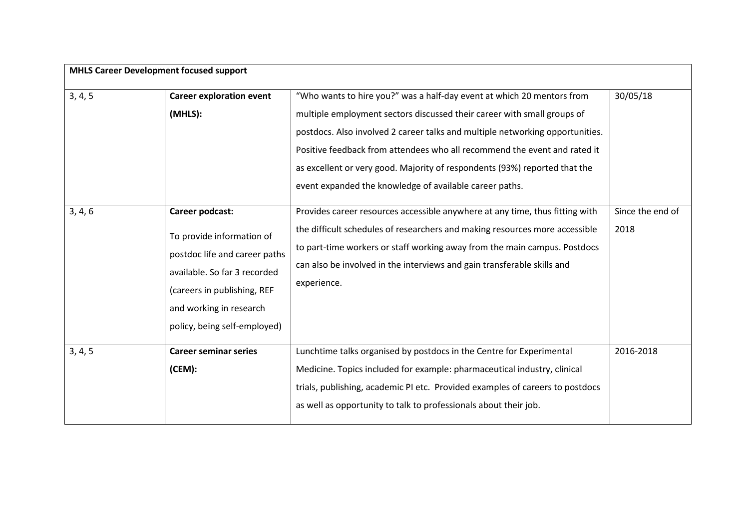| <b>MHLS Career Development focused support</b> |                                                                                                                                                                                      |                                                                                                                                                                                                                                                                                                                                                                                                                                                                                                                                          |                              |
|------------------------------------------------|--------------------------------------------------------------------------------------------------------------------------------------------------------------------------------------|------------------------------------------------------------------------------------------------------------------------------------------------------------------------------------------------------------------------------------------------------------------------------------------------------------------------------------------------------------------------------------------------------------------------------------------------------------------------------------------------------------------------------------------|------------------------------|
| 3, 4, 5<br>3, 4, 6                             | <b>Career exploration event</b><br>(MHLS):<br>Career podcast:                                                                                                                        | "Who wants to hire you?" was a half-day event at which 20 mentors from<br>multiple employment sectors discussed their career with small groups of<br>postdocs. Also involved 2 career talks and multiple networking opportunities.<br>Positive feedback from attendees who all recommend the event and rated it<br>as excellent or very good. Majority of respondents (93%) reported that the<br>event expanded the knowledge of available career paths.<br>Provides career resources accessible anywhere at any time, thus fitting with | 30/05/18<br>Since the end of |
|                                                | To provide information of<br>postdoc life and career paths<br>available. So far 3 recorded<br>(careers in publishing, REF<br>and working in research<br>policy, being self-employed) | the difficult schedules of researchers and making resources more accessible<br>to part-time workers or staff working away from the main campus. Postdocs<br>can also be involved in the interviews and gain transferable skills and<br>experience.                                                                                                                                                                                                                                                                                       | 2018                         |
| 3, 4, 5                                        | <b>Career seminar series</b><br>(CEM):                                                                                                                                               | Lunchtime talks organised by postdocs in the Centre for Experimental<br>Medicine. Topics included for example: pharmaceutical industry, clinical<br>trials, publishing, academic PI etc. Provided examples of careers to postdocs<br>as well as opportunity to talk to professionals about their job.                                                                                                                                                                                                                                    | 2016-2018                    |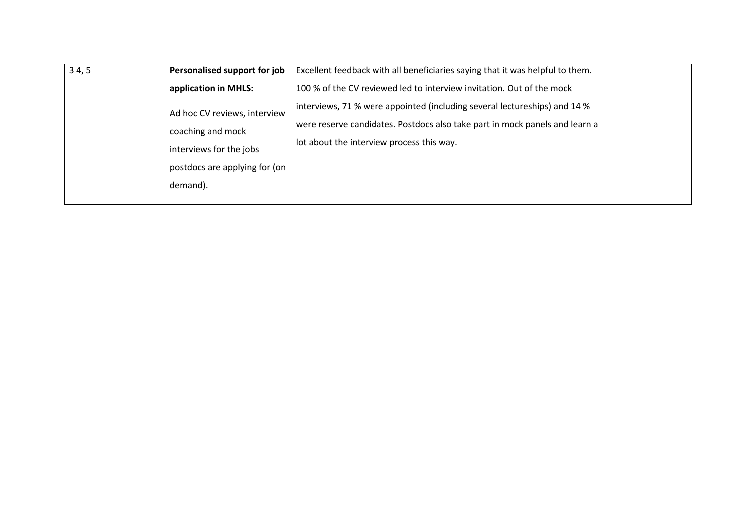| 34,5 | Personalised support for job  | Excellent feedback with all beneficiaries saying that it was helpful to them. |  |
|------|-------------------------------|-------------------------------------------------------------------------------|--|
|      | application in MHLS:          | 100 % of the CV reviewed led to interview invitation. Out of the mock         |  |
|      | Ad hoc CV reviews, interview  | interviews, 71 % were appointed (including several lectureships) and 14 %     |  |
|      | coaching and mock             | were reserve candidates. Postdocs also take part in mock panels and learn a   |  |
|      |                               | lot about the interview process this way.                                     |  |
|      | interviews for the jobs       |                                                                               |  |
|      | postdocs are applying for (on |                                                                               |  |
|      | demand).                      |                                                                               |  |
|      |                               |                                                                               |  |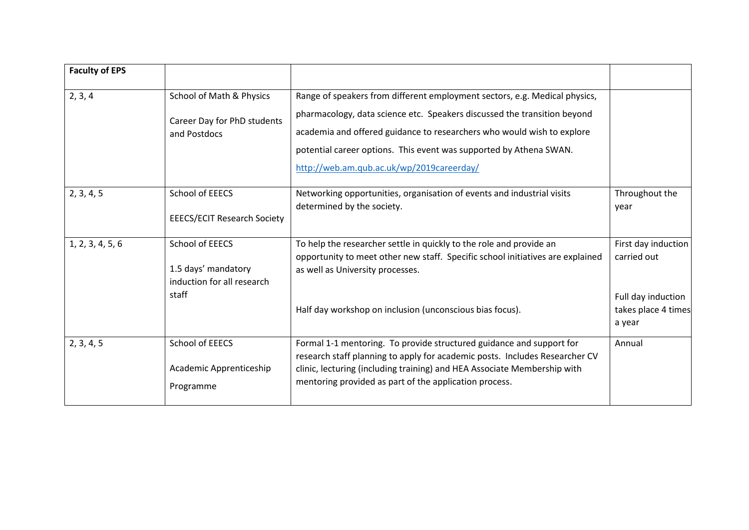| <b>Faculty of EPS</b> |                                                                               |                                                                                                                                                                                                                                                                                           |                                                                                           |
|-----------------------|-------------------------------------------------------------------------------|-------------------------------------------------------------------------------------------------------------------------------------------------------------------------------------------------------------------------------------------------------------------------------------------|-------------------------------------------------------------------------------------------|
| 2, 3, 4               | School of Math & Physics<br>Career Day for PhD students                       | Range of speakers from different employment sectors, e.g. Medical physics,<br>pharmacology, data science etc. Speakers discussed the transition beyond                                                                                                                                    |                                                                                           |
|                       | and Postdocs                                                                  | academia and offered guidance to researchers who would wish to explore<br>potential career options. This event was supported by Athena SWAN.<br>http://web.am.qub.ac.uk/wp/2019careerday/                                                                                                 |                                                                                           |
| 2, 3, 4, 5            | School of EEECS<br><b>EEECS/ECIT Research Society</b>                         | Networking opportunities, organisation of events and industrial visits<br>determined by the society.                                                                                                                                                                                      | Throughout the<br>year                                                                    |
| 1, 2, 3, 4, 5, 6      | School of EEECS<br>1.5 days' mandatory<br>induction for all research<br>staff | To help the researcher settle in quickly to the role and provide an<br>opportunity to meet other new staff. Specific school initiatives are explained<br>as well as University processes.<br>Half day workshop on inclusion (unconscious bias focus).                                     | First day induction<br>carried out<br>Full day induction<br>takes place 4 times<br>a year |
| 2, 3, 4, 5            | School of EEECS<br>Academic Apprenticeship<br>Programme                       | Formal 1-1 mentoring. To provide structured guidance and support for<br>research staff planning to apply for academic posts. Includes Researcher CV<br>clinic, lecturing (including training) and HEA Associate Membership with<br>mentoring provided as part of the application process. | Annual                                                                                    |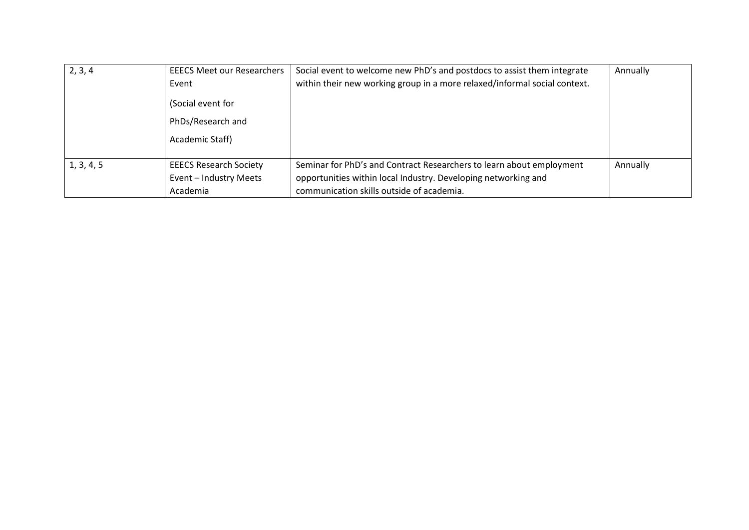| 2, 3, 4    | <b>EEECS Meet our Researchers</b><br>Event<br>(Social event for<br>PhDs/Research and<br>Academic Staff) | Social event to welcome new PhD's and postdocs to assist them integrate<br>within their new working group in a more relaxed/informal social context.                                | Annually |
|------------|---------------------------------------------------------------------------------------------------------|-------------------------------------------------------------------------------------------------------------------------------------------------------------------------------------|----------|
| 1, 3, 4, 5 | <b>EEECS Research Society</b><br>Event - Industry Meets<br>Academia                                     | Seminar for PhD's and Contract Researchers to learn about employment<br>opportunities within local Industry. Developing networking and<br>communication skills outside of academia. | Annually |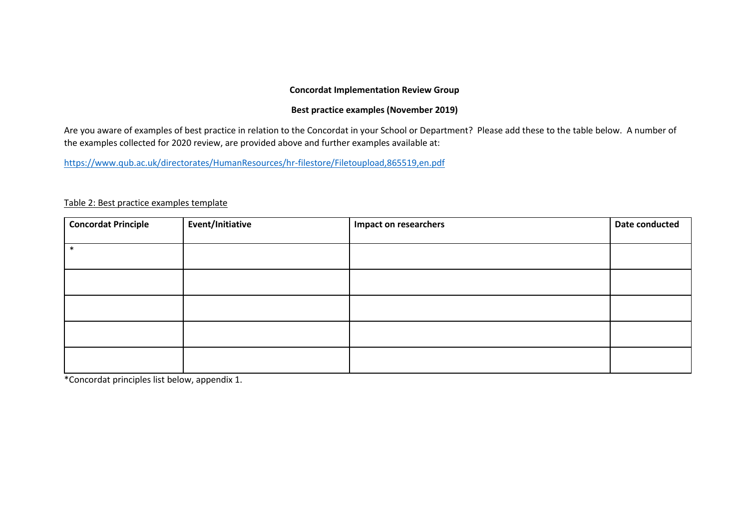## **Concordat Implementation Review Group**

### **Best practice examples (November 2019)**

Are you aware of examples of best practice in relation to the Concordat in your School or Department? Please add these to the table below. A number of the examples collected for 2020 review, are provided above and further examples available at:

<https://www.qub.ac.uk/directorates/HumanResources/hr-filestore/Filetoupload,865519,en.pdf>

| <b>Concordat Principle</b> | Event/Initiative | <b>Impact on researchers</b> | Date conducted |
|----------------------------|------------------|------------------------------|----------------|
| $\ast$                     |                  |                              |                |
|                            |                  |                              |                |
|                            |                  |                              |                |
|                            |                  |                              |                |
|                            |                  |                              |                |
|                            |                  |                              |                |

Table 2: Best practice examples template

\*Concordat principles list below, appendix 1.